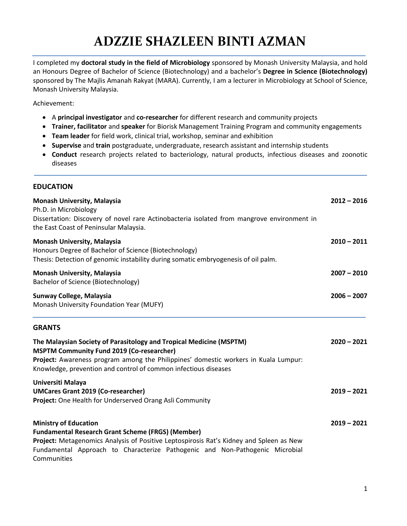## **ADZZIE SHAZLEEN BINTI AZMAN**

I completed my **doctoral study in the field of Microbiology** sponsored by Monash University Malaysia, and hold an Honours Degree of Bachelor of Science (Biotechnology) and a bachelor's **Degree in Science (Biotechnology)** sponsored by The Majlis Amanah Rakyat (MARA). Currently, I am a lecturer in Microbiology at School of Science, Monash University Malaysia.

Achievement:

- A **principal investigator** and **co-researcher** for different research and community projects
- **Trainer, facilitator** and **speaker** for Biorisk Management Training Program and community engagements
- **Team leader** for field work, clinical trial, workshop, seminar and exhibition
- **Supervise** and **train** postgraduate, undergraduate, research assistant and internship students
- **Conduct** research projects related to bacteriology, natural products, infectious diseases and zoonotic diseases

## **EDUCATION**

| <b>Monash University, Malaysia</b><br>Ph.D. in Microbiology<br>Dissertation: Discovery of novel rare Actinobacteria isolated from mangrove environment in<br>the East Coast of Peninsular Malaysia.                                                                                | $2012 - 2016$ |
|------------------------------------------------------------------------------------------------------------------------------------------------------------------------------------------------------------------------------------------------------------------------------------|---------------|
| <b>Monash University, Malaysia</b><br>Honours Degree of Bachelor of Science (Biotechnology)<br>Thesis: Detection of genomic instability during somatic embryogenesis of oil palm.                                                                                                  | $2010 - 2011$ |
| <b>Monash University, Malaysia</b><br>Bachelor of Science (Biotechnology)                                                                                                                                                                                                          | $2007 - 2010$ |
| Sunway College, Malaysia<br>Monash University Foundation Year (MUFY)                                                                                                                                                                                                               | $2006 - 2007$ |
| <b>GRANTS</b>                                                                                                                                                                                                                                                                      |               |
| The Malaysian Society of Parasitology and Tropical Medicine (MSPTM)<br><b>MSPTM Community Fund 2019 (Co-researcher)</b><br>Project: Awareness program among the Philippines' domestic workers in Kuala Lumpur:<br>Knowledge, prevention and control of common infectious diseases  | $2020 - 2021$ |
| Universiti Malaya<br><b>UMCares Grant 2019 (Co-researcher)</b><br>Project: One Health for Underserved Orang Asli Community                                                                                                                                                         | $2019 - 2021$ |
| <b>Ministry of Education</b><br><b>Fundamental Research Grant Scheme (FRGS) (Member)</b><br>Project: Metagenomics Analysis of Positive Leptospirosis Rat's Kidney and Spleen as New<br>Fundamental Approach to Characterize Pathogenic and Non-Pathogenic Microbial<br>Communities | $2019 - 2021$ |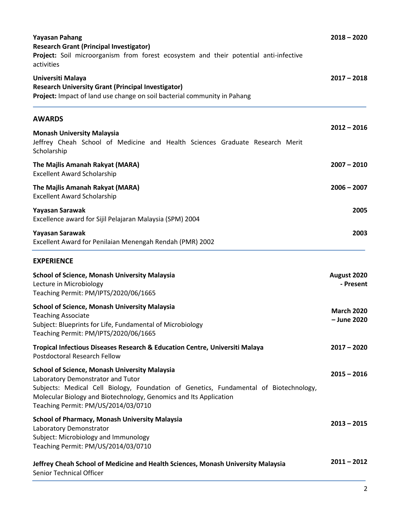| <b>Yayasan Pahang</b><br><b>Research Grant (Principal Investigator)</b><br>Project: Soil microorganism from forest ecosystem and their potential anti-infective<br>activities<br>Universiti Malaya<br><b>Research University Grant (Principal Investigator)</b><br>Project: Impact of land use change on soil bacterial community in Pahang | $2018 - 2020$<br>$2017 - 2018$   |
|---------------------------------------------------------------------------------------------------------------------------------------------------------------------------------------------------------------------------------------------------------------------------------------------------------------------------------------------|----------------------------------|
|                                                                                                                                                                                                                                                                                                                                             |                                  |
| <b>Monash University Malaysia</b><br>Jeffrey Cheah School of Medicine and Health Sciences Graduate Research Merit<br>Scholarship                                                                                                                                                                                                            | $2012 - 2016$                    |
| The Majlis Amanah Rakyat (MARA)<br><b>Excellent Award Scholarship</b>                                                                                                                                                                                                                                                                       | $2007 - 2010$                    |
| The Majlis Amanah Rakyat (MARA)<br><b>Excellent Award Scholarship</b>                                                                                                                                                                                                                                                                       | $2006 - 2007$                    |
| Yayasan Sarawak<br>Excellence award for Sijil Pelajaran Malaysia (SPM) 2004                                                                                                                                                                                                                                                                 | 2005                             |
| Yayasan Sarawak<br>Excellent Award for Penilaian Menengah Rendah (PMR) 2002                                                                                                                                                                                                                                                                 | 2003                             |
| <b>EXPERIENCE</b>                                                                                                                                                                                                                                                                                                                           |                                  |
| <b>School of Science, Monash University Malaysia</b><br>Lecture in Microbiology<br>Teaching Permit: PM/IPTS/2020/06/1665                                                                                                                                                                                                                    | August 2020<br>- Present         |
| <b>School of Science, Monash University Malaysia</b><br><b>Teaching Associate</b><br>Subject: Blueprints for Life, Fundamental of Microbiology<br>Teaching Permit: PM/IPTS/2020/06/1665                                                                                                                                                     | <b>March 2020</b><br>- June 2020 |
| Tropical Infectious Diseases Research & Education Centre, Universiti Malaya<br>Postdoctoral Research Fellow                                                                                                                                                                                                                                 | $2017 - 2020$                    |
| <b>School of Science, Monash University Malaysia</b><br>Laboratory Demonstrator and Tutor<br>Subjects: Medical Cell Biology, Foundation of Genetics, Fundamental of Biotechnology,<br>Molecular Biology and Biotechnology, Genomics and Its Application<br>Teaching Permit: PM/US/2014/03/0710                                              | $2015 - 2016$                    |
| <b>School of Pharmacy, Monash University Malaysia</b><br>Laboratory Demonstrator<br>Subject: Microbiology and Immunology<br>Teaching Permit: PM/US/2014/03/0710                                                                                                                                                                             | $2013 - 2015$                    |
| Jeffrey Cheah School of Medicine and Health Sciences, Monash University Malaysia<br>Senior Technical Officer                                                                                                                                                                                                                                | $2011 - 2012$                    |